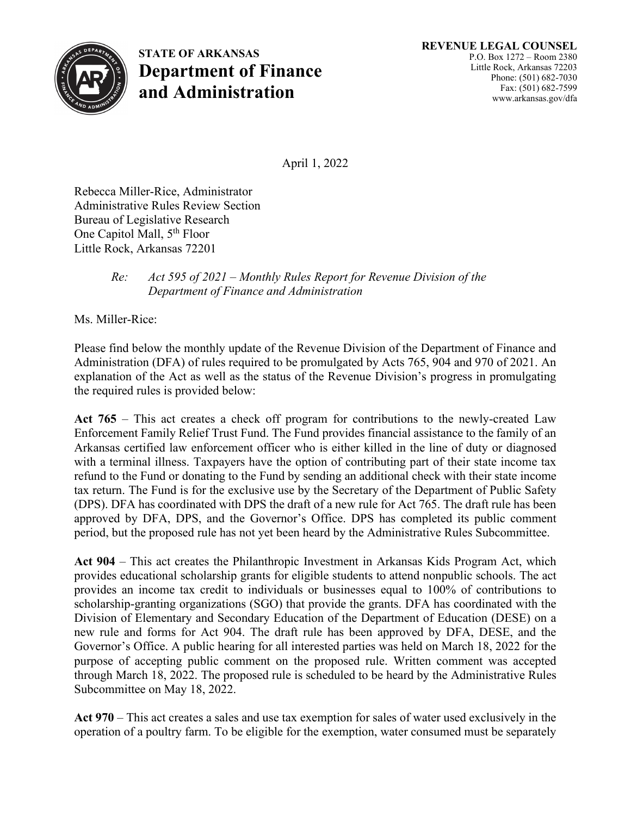

**STATE OF ARKANSAS Department of Finance and Administration**

April 1, 2022

Rebecca Miller-Rice, Administrator Administrative Rules Review Section Bureau of Legislative Research One Capitol Mall, 5<sup>th</sup> Floor Little Rock, Arkansas 72201

## *Re: Act 595 of 2021 – Monthly Rules Report for Revenue Division of the Department of Finance and Administration*

Ms. Miller-Rice:

Please find below the monthly update of the Revenue Division of the Department of Finance and Administration (DFA) of rules required to be promulgated by Acts 765, 904 and 970 of 2021. An explanation of the Act as well as the status of the Revenue Division's progress in promulgating the required rules is provided below:

**Act 765** – This act creates a check off program for contributions to the newly-created Law Enforcement Family Relief Trust Fund. The Fund provides financial assistance to the family of an Arkansas certified law enforcement officer who is either killed in the line of duty or diagnosed with a terminal illness. Taxpayers have the option of contributing part of their state income tax refund to the Fund or donating to the Fund by sending an additional check with their state income tax return. The Fund is for the exclusive use by the Secretary of the Department of Public Safety (DPS). DFA has coordinated with DPS the draft of a new rule for Act 765. The draft rule has been approved by DFA, DPS, and the Governor's Office. DPS has completed its public comment period, but the proposed rule has not yet been heard by the Administrative Rules Subcommittee.

**Act 904** – This act creates the Philanthropic Investment in Arkansas Kids Program Act, which provides educational scholarship grants for eligible students to attend nonpublic schools. The act provides an income tax credit to individuals or businesses equal to 100% of contributions to scholarship-granting organizations (SGO) that provide the grants. DFA has coordinated with the Division of Elementary and Secondary Education of the Department of Education (DESE) on a new rule and forms for Act 904. The draft rule has been approved by DFA, DESE, and the Governor's Office. A public hearing for all interested parties was held on March 18, 2022 for the purpose of accepting public comment on the proposed rule. Written comment was accepted through March 18, 2022. The proposed rule is scheduled to be heard by the Administrative Rules Subcommittee on May 18, 2022.

**Act 970** – This act creates a sales and use tax exemption for sales of water used exclusively in the operation of a poultry farm. To be eligible for the exemption, water consumed must be separately